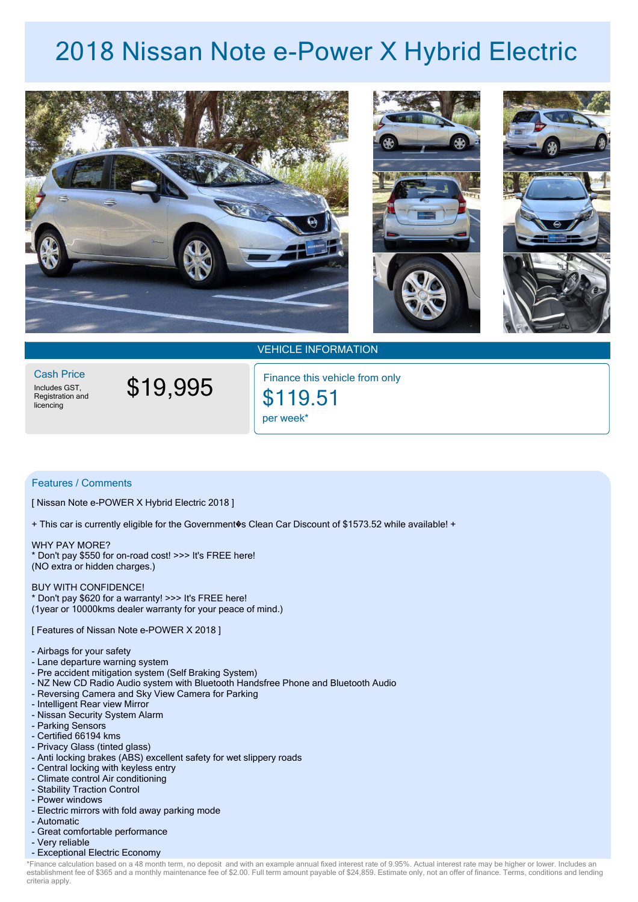## **2018 Nissan Note e-Power X Hybrid Electric**





VEHICLE INFORMATION

Includes GST,<br>Registration and licencing Cash Price

\$19,995

per week\* \$119.51 Finance this vehicle from only

## Features / Comments

[ Nissan Note e-POWER X Hybrid Electric 2018 ]

+ This car is currently eligible for the Government�s Clean Car Discount of \$1573.52 while available! +

WHY PAY MORE? \* Don't pay \$550 for on-road cost! >>> It's FREE here! (NO extra or hidden charges.)

## BUY WITH CONFIDENCE!

\* Don't pay \$620 for a warranty! >>> It's FREE here! (1year or 10000kms dealer warranty for your peace of mind.)

[ Features of Nissan Note e-POWER X 2018 ]

- Airbags for your safety
- Lane departure warning system
- Pre accident mitigation system (Self Braking System)
- NZ New CD Radio Audio system with Bluetooth Handsfree Phone and Bluetooth Audio
- Reversing Camera and Sky View Camera for Parking
- Intelligent Rear view Mirror
- Nissan Security System Alarm
- Parking Sensors
- Certified 66194 kms
- Privacy Glass (tinted glass)
- Anti locking brakes (ABS) excellent safety for wet slippery roads
- Central locking with keyless entry
- Climate control Air conditioning
- Stability Traction Control
- Power windows
- Electric mirrors with fold away parking mode
- Automatic
- Great comfortable performance
- Very reliable
- Exceptional Electric Economy

\*Finance calculation based on a 48 month term, no deposit and with an example annual fixed interest rate of 9.95%. Actual interest rate may be higher or lower. Includes an criteria apply. establishment fee of \$365 and a monthly maintenance fee of \$2.00. Full term amount payable of \$24,859. Estimate only, not an offer of finance. Terms, conditions and lending